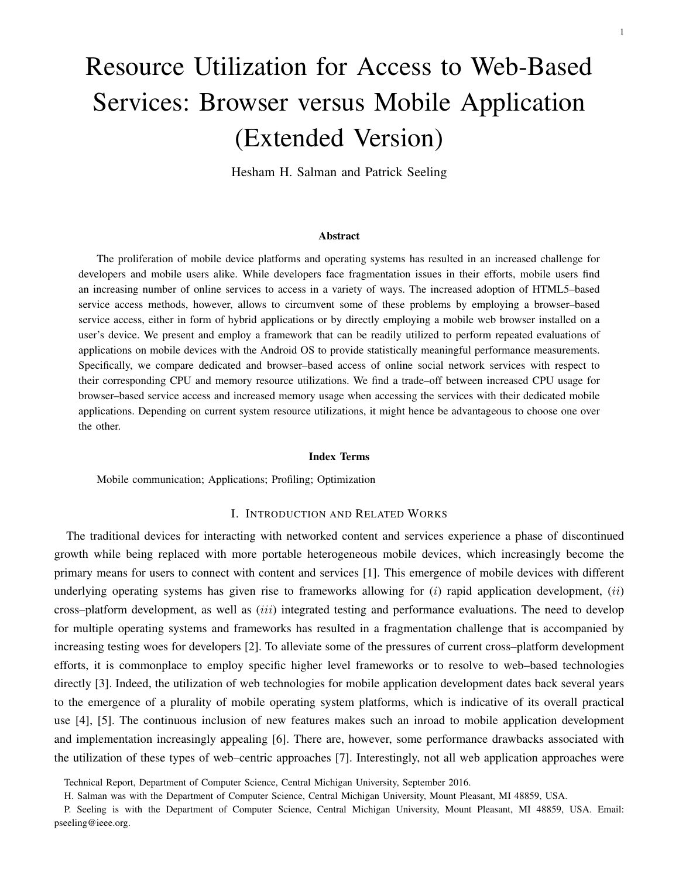# Resource Utilization for Access to Web-Based Services: Browser versus Mobile Application (Extended Version)

Hesham H. Salman and Patrick Seeling

#### Abstract

The proliferation of mobile device platforms and operating systems has resulted in an increased challenge for developers and mobile users alike. While developers face fragmentation issues in their efforts, mobile users find an increasing number of online services to access in a variety of ways. The increased adoption of HTML5–based service access methods, however, allows to circumvent some of these problems by employing a browser–based service access, either in form of hybrid applications or by directly employing a mobile web browser installed on a user's device. We present and employ a framework that can be readily utilized to perform repeated evaluations of applications on mobile devices with the Android OS to provide statistically meaningful performance measurements. Specifically, we compare dedicated and browser–based access of online social network services with respect to their corresponding CPU and memory resource utilizations. We find a trade–off between increased CPU usage for browser–based service access and increased memory usage when accessing the services with their dedicated mobile applications. Depending on current system resource utilizations, it might hence be advantageous to choose one over the other.

## Index Terms

Mobile communication; Applications; Profiling; Optimization

# I. INTRODUCTION AND RELATED WORKS

The traditional devices for interacting with networked content and services experience a phase of discontinued growth while being replaced with more portable heterogeneous mobile devices, which increasingly become the primary means for users to connect with content and services [1]. This emergence of mobile devices with different underlying operating systems has given rise to frameworks allowing for  $(i)$  rapid application development,  $(ii)$ cross–platform development, as well as (iii) integrated testing and performance evaluations. The need to develop for multiple operating systems and frameworks has resulted in a fragmentation challenge that is accompanied by increasing testing woes for developers [2]. To alleviate some of the pressures of current cross–platform development efforts, it is commonplace to employ specific higher level frameworks or to resolve to web–based technologies directly [3]. Indeed, the utilization of web technologies for mobile application development dates back several years to the emergence of a plurality of mobile operating system platforms, which is indicative of its overall practical use [4], [5]. The continuous inclusion of new features makes such an inroad to mobile application development and implementation increasingly appealing [6]. There are, however, some performance drawbacks associated with the utilization of these types of web–centric approaches [7]. Interestingly, not all web application approaches were

Technical Report, Department of Computer Science, Central Michigan University, September 2016.

H. Salman was with the Department of Computer Science, Central Michigan University, Mount Pleasant, MI 48859, USA.

P. Seeling is with the Department of Computer Science, Central Michigan University, Mount Pleasant, MI 48859, USA. Email: pseeling@ieee.org.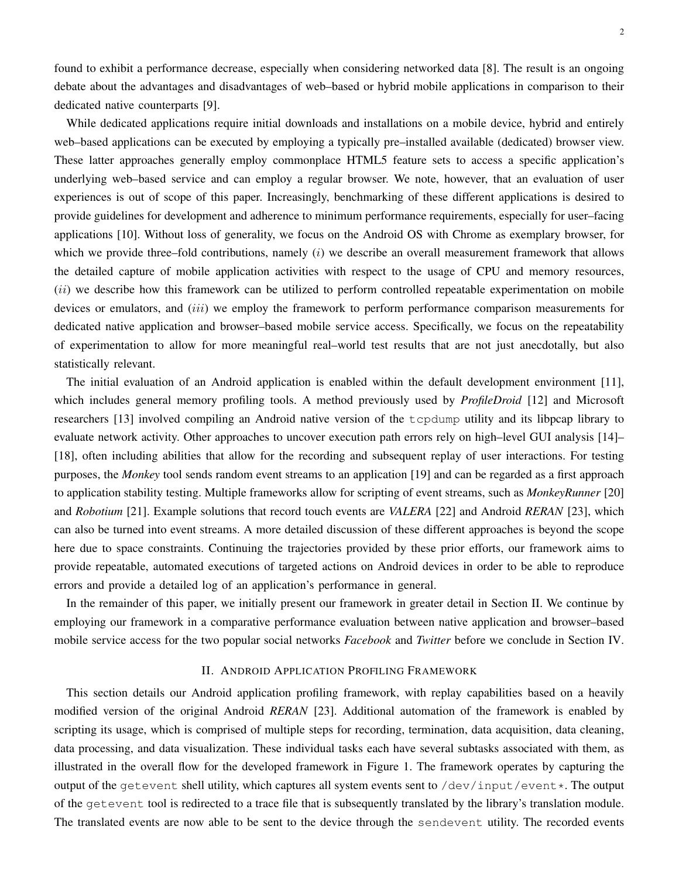found to exhibit a performance decrease, especially when considering networked data [8]. The result is an ongoing debate about the advantages and disadvantages of web–based or hybrid mobile applications in comparison to their dedicated native counterparts [9].

While dedicated applications require initial downloads and installations on a mobile device, hybrid and entirely web–based applications can be executed by employing a typically pre–installed available (dedicated) browser view. These latter approaches generally employ commonplace HTML5 feature sets to access a specific application's underlying web–based service and can employ a regular browser. We note, however, that an evaluation of user experiences is out of scope of this paper. Increasingly, benchmarking of these different applications is desired to provide guidelines for development and adherence to minimum performance requirements, especially for user–facing applications [10]. Without loss of generality, we focus on the Android OS with Chrome as exemplary browser, for which we provide three–fold contributions, namely  $(i)$  we describe an overall measurement framework that allows the detailed capture of mobile application activities with respect to the usage of CPU and memory resources, (ii) we describe how this framework can be utilized to perform controlled repeatable experimentation on mobile devices or emulators, and *(iii)* we employ the framework to perform performance comparison measurements for dedicated native application and browser–based mobile service access. Specifically, we focus on the repeatability of experimentation to allow for more meaningful real–world test results that are not just anecdotally, but also statistically relevant.

The initial evaluation of an Android application is enabled within the default development environment [11], which includes general memory profiling tools. A method previously used by *ProfileDroid* [12] and Microsoft researchers [13] involved compiling an Android native version of the tcpdump utility and its libpcap library to evaluate network activity. Other approaches to uncover execution path errors rely on high–level GUI analysis [14]– [18], often including abilities that allow for the recording and subsequent replay of user interactions. For testing purposes, the *Monkey* tool sends random event streams to an application [19] and can be regarded as a first approach to application stability testing. Multiple frameworks allow for scripting of event streams, such as *MonkeyRunner* [20] and *Robotium* [21]. Example solutions that record touch events are *VALERA* [22] and Android *RERAN* [23], which can also be turned into event streams. A more detailed discussion of these different approaches is beyond the scope here due to space constraints. Continuing the trajectories provided by these prior efforts, our framework aims to provide repeatable, automated executions of targeted actions on Android devices in order to be able to reproduce errors and provide a detailed log of an application's performance in general.

In the remainder of this paper, we initially present our framework in greater detail in Section II. We continue by employing our framework in a comparative performance evaluation between native application and browser–based mobile service access for the two popular social networks *Facebook* and *Twitter* before we conclude in Section IV.

# II. ANDROID APPLICATION PROFILING FRAMEWORK

This section details our Android application profiling framework, with replay capabilities based on a heavily modified version of the original Android *RERAN* [23]. Additional automation of the framework is enabled by scripting its usage, which is comprised of multiple steps for recording, termination, data acquisition, data cleaning, data processing, and data visualization. These individual tasks each have several subtasks associated with them, as illustrated in the overall flow for the developed framework in Figure 1. The framework operates by capturing the output of the getevent shell utility, which captures all system events sent to /dev/input/event\*. The output of the getevent tool is redirected to a trace file that is subsequently translated by the library's translation module. The translated events are now able to be sent to the device through the sendevent utility. The recorded events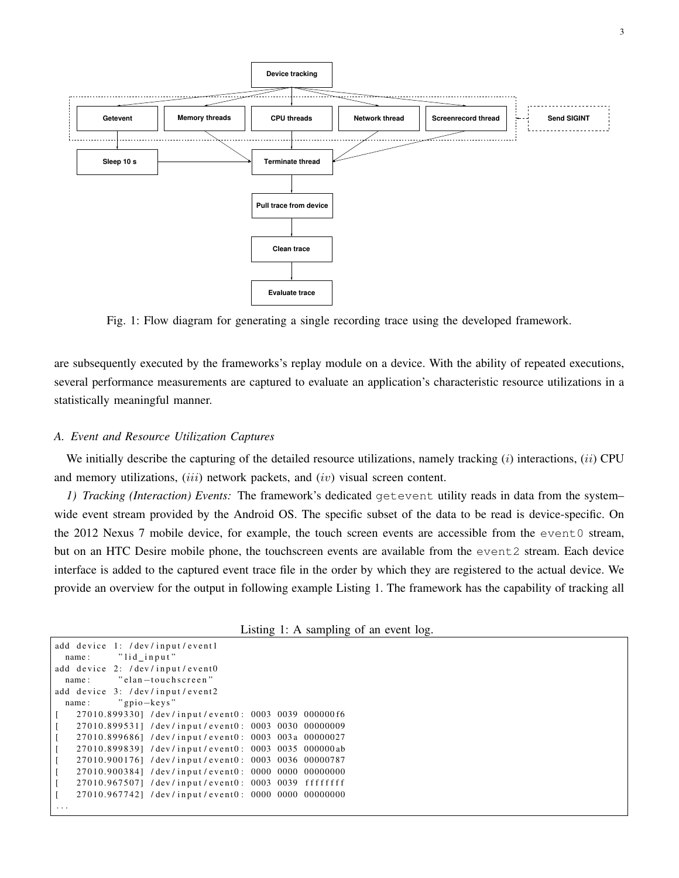

Fig. 1: Flow diagram for generating a single recording trace using the developed framework.

are subsequently executed by the frameworks's replay module on a device. With the ability of repeated executions, several performance measurements are captured to evaluate an application's characteristic resource utilizations in a statistically meaningful manner.

# *A. Event and Resource Utilization Captures*

We initially describe the capturing of the detailed resource utilizations, namely tracking  $(i)$  interactions,  $(ii)$  CPU and memory utilizations,  $(iii)$  network packets, and  $(iv)$  visual screen content.

*1) Tracking (Interaction) Events:* The framework's dedicated getevent utility reads in data from the system– wide event stream provided by the Android OS. The specific subset of the data to be read is device-specific. On the 2012 Nexus 7 mobile device, for example, the touch screen events are accessible from the event0 stream, but on an HTC Desire mobile phone, the touchscreen events are available from the event 2 stream. Each device interface is added to the captured event trace file in the order by which they are registered to the actual device. We provide an overview for the output in following example Listing 1. The framework has the capability of tracking all

|  | Listing 1: A sampling of an event log. |  |  |
|--|----------------------------------------|--|--|
|  |                                        |  |  |

|   | name: | "lid_input"   | add device 1: /dev/input/event1                      |  |          |  |
|---|-------|---------------|------------------------------------------------------|--|----------|--|
|   |       |               |                                                      |  |          |  |
|   |       |               | add device 2: /dev/input/event0                      |  |          |  |
|   | name: |               | "elan-touchscreen"                                   |  |          |  |
|   |       |               | add device 3: /dev/input/event2                      |  |          |  |
|   | name: | "gpio-keys"   |                                                      |  |          |  |
| ſ |       |               | 27010.899330] / dev/input/event0: 0003 0039 000000f6 |  |          |  |
|   |       |               | 27010.899531] /dev/input/event0: 0003 0030 00000009  |  |          |  |
|   |       |               | 27010.899686] / dev/input/event0: 0003 003a 00000027 |  |          |  |
| ſ |       |               | 27010.899839] /dev/input/event0: 0003 0035 000000ab  |  |          |  |
|   |       | 27010.9001761 | /dev/input/event0: 0003 0036 00000787                |  |          |  |
| ſ |       | 27010.9003841 | $/$ dev/input/event0: 0000 0000                      |  | 00000000 |  |
| ſ |       | 27010.9675071 | /dev/input/event0: 0003 0039 ffffffff                |  |          |  |
| ſ |       | 27010.9677421 | /dev/input/event0: 0000 0000 00000000                |  |          |  |
|   |       |               |                                                      |  |          |  |
|   |       |               |                                                      |  |          |  |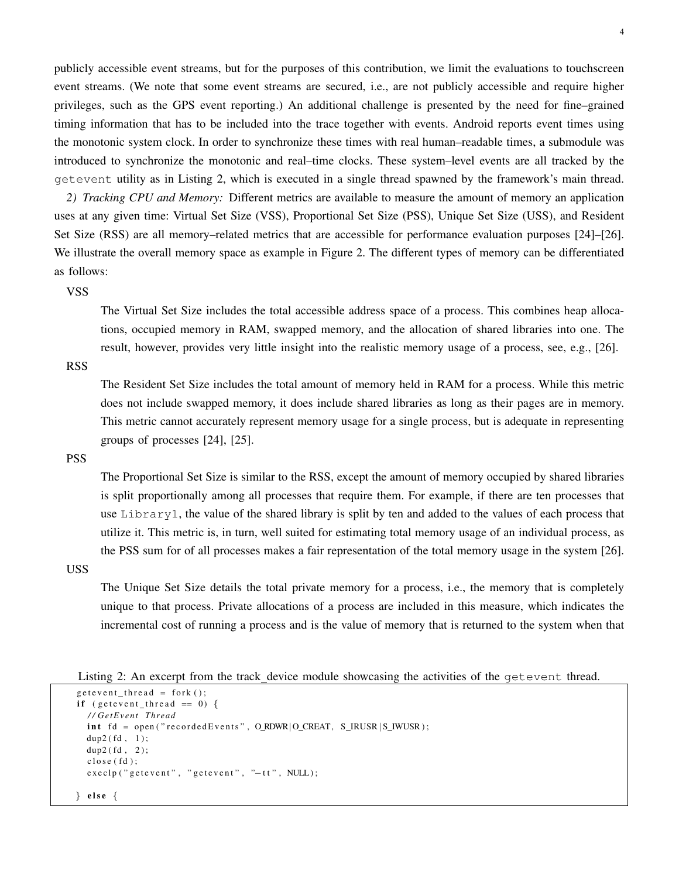publicly accessible event streams, but for the purposes of this contribution, we limit the evaluations to touchscreen event streams. (We note that some event streams are secured, i.e., are not publicly accessible and require higher privileges, such as the GPS event reporting.) An additional challenge is presented by the need for fine–grained timing information that has to be included into the trace together with events. Android reports event times using the monotonic system clock. In order to synchronize these times with real human–readable times, a submodule was introduced to synchronize the monotonic and real–time clocks. These system–level events are all tracked by the getevent utility as in Listing 2, which is executed in a single thread spawned by the framework's main thread.

*2) Tracking CPU and Memory:* Different metrics are available to measure the amount of memory an application uses at any given time: Virtual Set Size (VSS), Proportional Set Size (PSS), Unique Set Size (USS), and Resident Set Size (RSS) are all memory–related metrics that are accessible for performance evaluation purposes [24]–[26]. We illustrate the overall memory space as example in Figure 2. The different types of memory can be differentiated as follows:

VSS

The Virtual Set Size includes the total accessible address space of a process. This combines heap allocations, occupied memory in RAM, swapped memory, and the allocation of shared libraries into one. The result, however, provides very little insight into the realistic memory usage of a process, see, e.g., [26].

RSS

The Resident Set Size includes the total amount of memory held in RAM for a process. While this metric does not include swapped memory, it does include shared libraries as long as their pages are in memory. This metric cannot accurately represent memory usage for a single process, but is adequate in representing groups of processes [24], [25].

**PSS** 

The Proportional Set Size is similar to the RSS, except the amount of memory occupied by shared libraries is split proportionally among all processes that require them. For example, if there are ten processes that use Library1, the value of the shared library is split by ten and added to the values of each process that utilize it. This metric is, in turn, well suited for estimating total memory usage of an individual process, as the PSS sum for of all processes makes a fair representation of the total memory usage in the system [26].

USS

The Unique Set Size details the total private memory for a process, i.e., the memory that is completely unique to that process. Private allocations of a process are included in this measure, which indicates the incremental cost of running a process and is the value of memory that is returned to the system when that

Listing 2: An excerpt from the track device module showcasing the activities of the getevent thread.

```
get event_{th read} = fork();if (getevent_thread == 0) {
 / / G etE v e nt T h re a d
 int f d = open("recordedEvents", O_RDWR|O_CREAT, S_RUSR|S_WWUR);dup2 ( fd, 1);dup2 ( fd, 2);close(fd);execlp ("getevent", "getevent", "-tt", NULL);
```
 $\}$  else {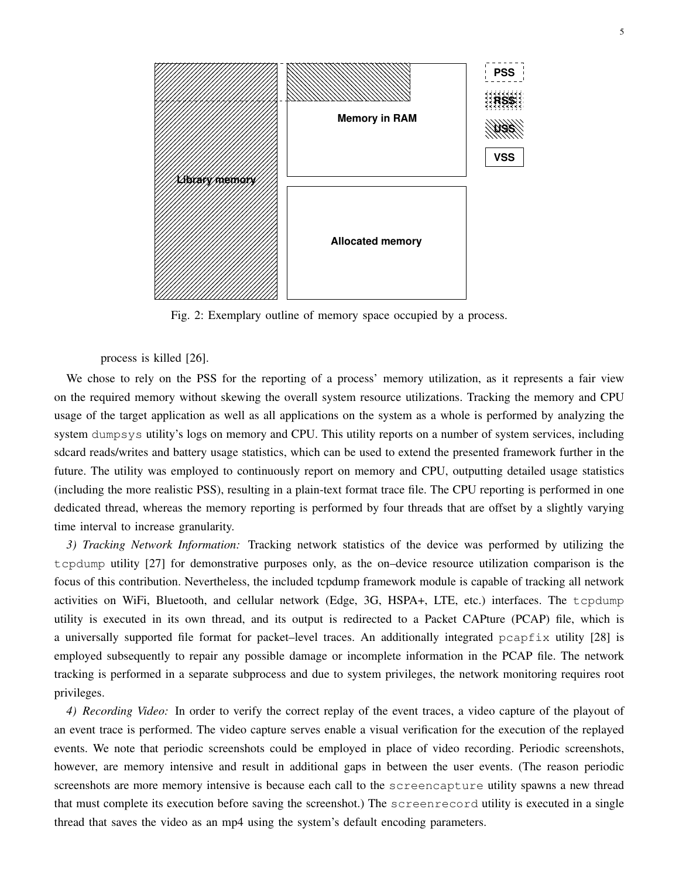

Fig. 2: Exemplary outline of memory space occupied by a process.

process is killed [26].

We chose to rely on the PSS for the reporting of a process' memory utilization, as it represents a fair view on the required memory without skewing the overall system resource utilizations. Tracking the memory and CPU usage of the target application as well as all applications on the system as a whole is performed by analyzing the system dumpsys utility's logs on memory and CPU. This utility reports on a number of system services, including sdcard reads/writes and battery usage statistics, which can be used to extend the presented framework further in the future. The utility was employed to continuously report on memory and CPU, outputting detailed usage statistics (including the more realistic PSS), resulting in a plain-text format trace file. The CPU reporting is performed in one dedicated thread, whereas the memory reporting is performed by four threads that are offset by a slightly varying time interval to increase granularity.

*3) Tracking Network Information:* Tracking network statistics of the device was performed by utilizing the tcpdump utility [27] for demonstrative purposes only, as the on–device resource utilization comparison is the focus of this contribution. Nevertheless, the included tcpdump framework module is capable of tracking all network activities on WiFi, Bluetooth, and cellular network (Edge, 3G, HSPA+, LTE, etc.) interfaces. The tcpdump utility is executed in its own thread, and its output is redirected to a Packet CAPture (PCAP) file, which is a universally supported file format for packet–level traces. An additionally integrated pcapfix utility [28] is employed subsequently to repair any possible damage or incomplete information in the PCAP file. The network tracking is performed in a separate subprocess and due to system privileges, the network monitoring requires root privileges.

*4) Recording Video:* In order to verify the correct replay of the event traces, a video capture of the playout of an event trace is performed. The video capture serves enable a visual verification for the execution of the replayed events. We note that periodic screenshots could be employed in place of video recording. Periodic screenshots, however, are memory intensive and result in additional gaps in between the user events. (The reason periodic screenshots are more memory intensive is because each call to the screencapture utility spawns a new thread that must complete its execution before saving the screenshot.) The screenrecord utility is executed in a single thread that saves the video as an mp4 using the system's default encoding parameters.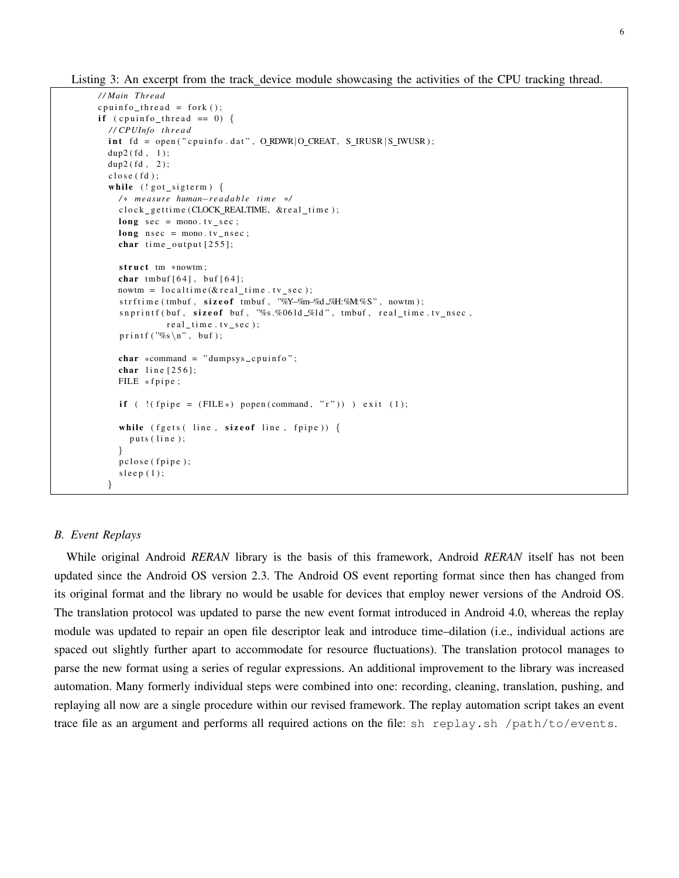```
/ / Main T h re a d
c puinfo_thread = fork ();
if ( cpuinfo_thread == 0) {
  / / CPUInfo t h r e a d
  int f d = open("cpuinfo.dat", O_RDWR|O_CREAT, S_RUSR|S_WWSR);dup2 ( fd, 1);dup2 ( fd, 2);close(fd);while (!got\_sigterm) {
    / * me a s u re human−r e a d a bl e ti m e * /
    clock gettime (CLOCK REALTIME, &real time);
    long \ sec = mono. tv\_sec;long nsec = mono.tv_nsec;
    char time\_output [255];
    struct tm *nowtm;
    char tm buf [64], buf [64];
    nowtm = loc \, \text{altime}(\& \text{real time}, \text{tv} \text{ sec});strftime (tmbuf, size of tmbuf, "%Y-%m-%d %H:%M:%S", nowtm);
    snprintf (buf, size of buf, "%s.%061d.%ld", tmbuf, real_time.tv_nsec,
              real_time . tv\_sec );
    printf (\sqrt[10]{6}s \n", buf);
    char *command = "dumpsys_cpuinfo";
    char line [256];
    FILE * fpipe;
    if ( !( fpipe = (FILE *) popen (command, "r")) ) exit (1);
    while (fgets( line, size of line, f pipe)) {
      puts (line);
    }
    p c l o s e ( f p i p e );
    s leep (1);
  }
```
#### *B. Event Replays*

While original Android *RERAN* library is the basis of this framework, Android *RERAN* itself has not been updated since the Android OS version 2.3. The Android OS event reporting format since then has changed from its original format and the library no would be usable for devices that employ newer versions of the Android OS. The translation protocol was updated to parse the new event format introduced in Android 4.0, whereas the replay module was updated to repair an open file descriptor leak and introduce time–dilation (i.e., individual actions are spaced out slightly further apart to accommodate for resource fluctuations). The translation protocol manages to parse the new format using a series of regular expressions. An additional improvement to the library was increased automation. Many formerly individual steps were combined into one: recording, cleaning, translation, pushing, and replaying all now are a single procedure within our revised framework. The replay automation script takes an event trace file as an argument and performs all required actions on the file: sh replay.sh /path/to/events.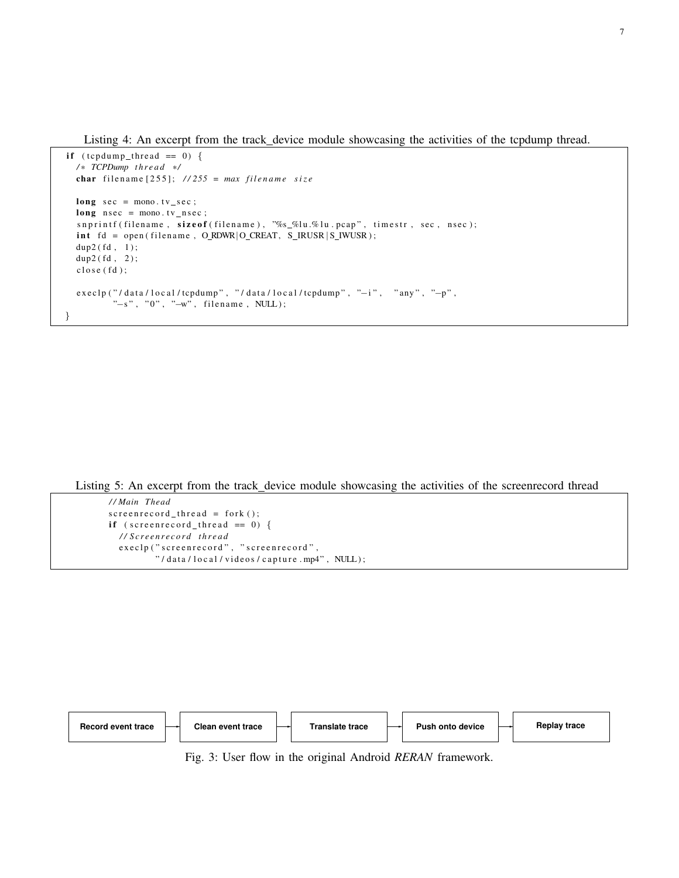Listing 4: An excerpt from the track device module showcasing the activities of the tcpdump thread.

```
if (tc p d um p _ th r e a d == 0 ) {
  / * TCPDump t h r e a d * /
  char filename [255]; \frac{1}{255} = max filename size
  long sec = mono. tv\_sec;long\_nsec = mono.tv\_nsec;snprintf (filename, sizeof (filename), "%s_%lu.%lu.pcap", timestr, sec, nsec);
  int f d = open ( filename, O_RDWR)O_CREAT, S_RWSSR);
  dup2 ( fd, 1);dup2 (fd, 2);
  close(fd);e x e c l p ( " / d a t a / l o c a l / tcpdump", " / d a t a / l o c a l / tcpdump", "-i", "any", "-p",
          "-s", "0", "-w", filename, NULL);
}
```
Listing 5: An excerpt from the track device module showcasing the activities of the screenrecord thread

```
/ / Main Thead
screen record_{thread} = fork();if (screenrecord_thread == 0) {
  / / S c r e e n r e c o r d t h r e a d
  execlp (" screenrecord", " screenrecord",
          "/data/local/videos/capture.mp4", NULL);
```


Fig. 3: User flow in the original Android *RERAN* framework.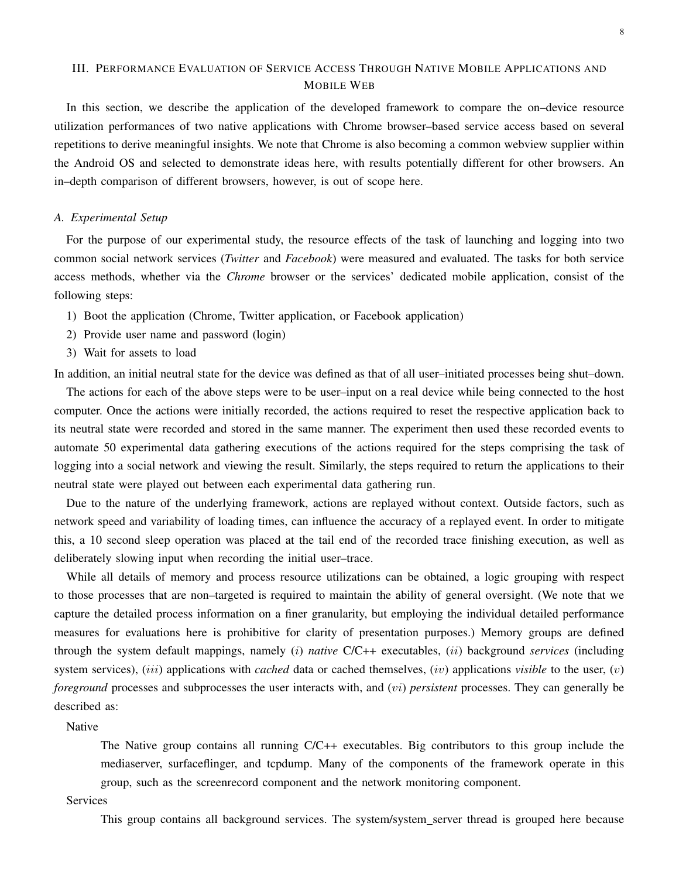# III. PERFORMANCE EVALUATION OF SERVICE ACCESS THROUGH NATIVE MOBILE APPLICATIONS AND MOBILE WEB

In this section, we describe the application of the developed framework to compare the on–device resource utilization performances of two native applications with Chrome browser–based service access based on several repetitions to derive meaningful insights. We note that Chrome is also becoming a common webview supplier within the Android OS and selected to demonstrate ideas here, with results potentially different for other browsers. An in–depth comparison of different browsers, however, is out of scope here.

#### *A. Experimental Setup*

For the purpose of our experimental study, the resource effects of the task of launching and logging into two common social network services (*Twitter* and *Facebook*) were measured and evaluated. The tasks for both service access methods, whether via the *Chrome* browser or the services' dedicated mobile application, consist of the following steps:

- 1) Boot the application (Chrome, Twitter application, or Facebook application)
- 2) Provide user name and password (login)
- 3) Wait for assets to load

In addition, an initial neutral state for the device was defined as that of all user–initiated processes being shut–down.

The actions for each of the above steps were to be user–input on a real device while being connected to the host computer. Once the actions were initially recorded, the actions required to reset the respective application back to its neutral state were recorded and stored in the same manner. The experiment then used these recorded events to automate 50 experimental data gathering executions of the actions required for the steps comprising the task of logging into a social network and viewing the result. Similarly, the steps required to return the applications to their neutral state were played out between each experimental data gathering run.

Due to the nature of the underlying framework, actions are replayed without context. Outside factors, such as network speed and variability of loading times, can influence the accuracy of a replayed event. In order to mitigate this, a 10 second sleep operation was placed at the tail end of the recorded trace finishing execution, as well as deliberately slowing input when recording the initial user–trace.

While all details of memory and process resource utilizations can be obtained, a logic grouping with respect to those processes that are non–targeted is required to maintain the ability of general oversight. (We note that we capture the detailed process information on a finer granularity, but employing the individual detailed performance measures for evaluations here is prohibitive for clarity of presentation purposes.) Memory groups are defined through the system default mappings, namely (i) *native* C/C++ executables, (ii) background *services* (including system services), *(iii)* applications with *cached* data or cached themselves, *(iv)* applications *visible* to the user, *(v) foreground* processes and subprocesses the user interacts with, and (*vi*) *persistent* processes. They can generally be described as:

Native

The Native group contains all running C/C++ executables. Big contributors to this group include the mediaserver, surfaceflinger, and tcpdump. Many of the components of the framework operate in this group, such as the screenrecord component and the network monitoring component.

Services

This group contains all background services. The system/system server thread is grouped here because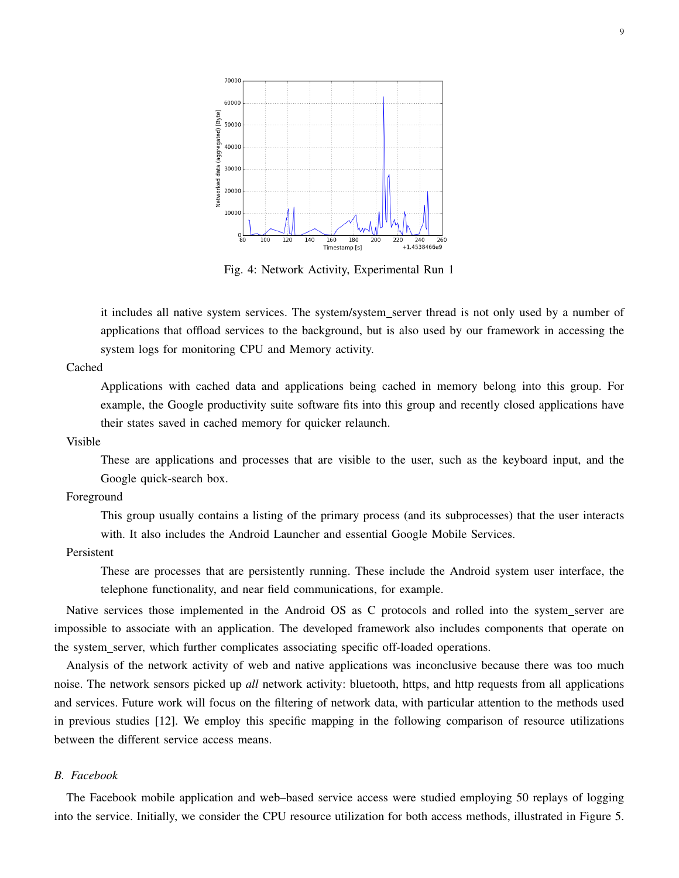

Fig. 4: Network Activity, Experimental Run 1

it includes all native system services. The system/system server thread is not only used by a number of applications that offload services to the background, but is also used by our framework in accessing the system logs for monitoring CPU and Memory activity.

# Cached

Applications with cached data and applications being cached in memory belong into this group. For example, the Google productivity suite software fits into this group and recently closed applications have their states saved in cached memory for quicker relaunch.

Visible

These are applications and processes that are visible to the user, such as the keyboard input, and the Google quick-search box.

# Foreground

This group usually contains a listing of the primary process (and its subprocesses) that the user interacts with. It also includes the Android Launcher and essential Google Mobile Services.

# Persistent

These are processes that are persistently running. These include the Android system user interface, the telephone functionality, and near field communications, for example.

Native services those implemented in the Android OS as C protocols and rolled into the system server are impossible to associate with an application. The developed framework also includes components that operate on the system server, which further complicates associating specific off-loaded operations.

Analysis of the network activity of web and native applications was inconclusive because there was too much noise. The network sensors picked up *all* network activity: bluetooth, https, and http requests from all applications and services. Future work will focus on the filtering of network data, with particular attention to the methods used in previous studies [12]. We employ this specific mapping in the following comparison of resource utilizations between the different service access means.

# *B. Facebook*

The Facebook mobile application and web–based service access were studied employing 50 replays of logging into the service. Initially, we consider the CPU resource utilization for both access methods, illustrated in Figure 5.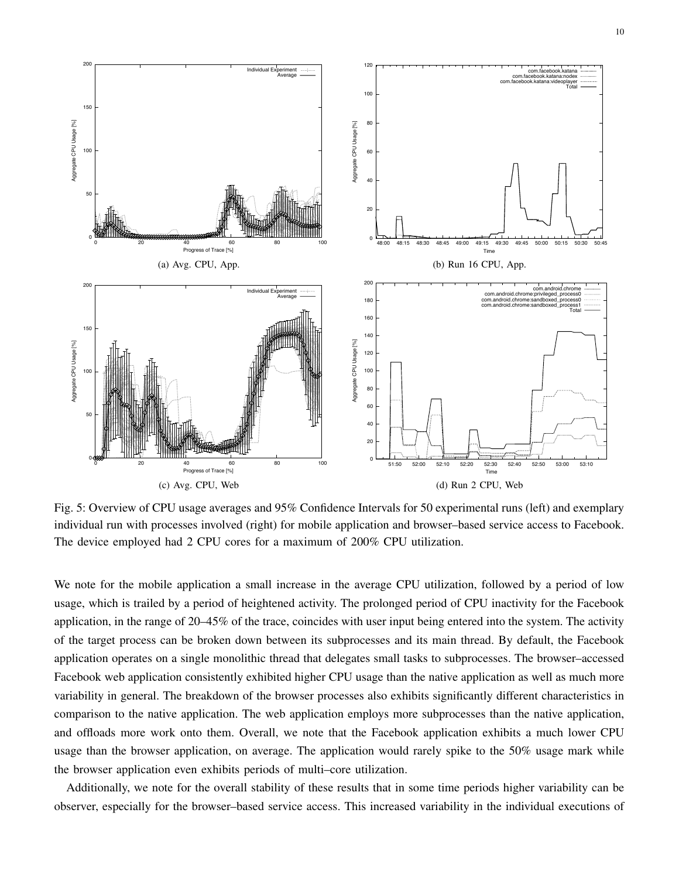

Fig. 5: Overview of CPU usage averages and 95% Confidence Intervals for 50 experimental runs (left) and exemplary individual run with processes involved (right) for mobile application and browser–based service access to Facebook. The device employed had 2 CPU cores for a maximum of 200% CPU utilization.

We note for the mobile application a small increase in the average CPU utilization, followed by a period of low usage, which is trailed by a period of heightened activity. The prolonged period of CPU inactivity for the Facebook application, in the range of 20–45% of the trace, coincides with user input being entered into the system. The activity of the target process can be broken down between its subprocesses and its main thread. By default, the Facebook application operates on a single monolithic thread that delegates small tasks to subprocesses. The browser–accessed Facebook web application consistently exhibited higher CPU usage than the native application as well as much more variability in general. The breakdown of the browser processes also exhibits significantly different characteristics in comparison to the native application. The web application employs more subprocesses than the native application, and offloads more work onto them. Overall, we note that the Facebook application exhibits a much lower CPU usage than the browser application, on average. The application would rarely spike to the 50% usage mark while the browser application even exhibits periods of multi–core utilization.

Additionally, we note for the overall stability of these results that in some time periods higher variability can be observer, especially for the browser–based service access. This increased variability in the individual executions of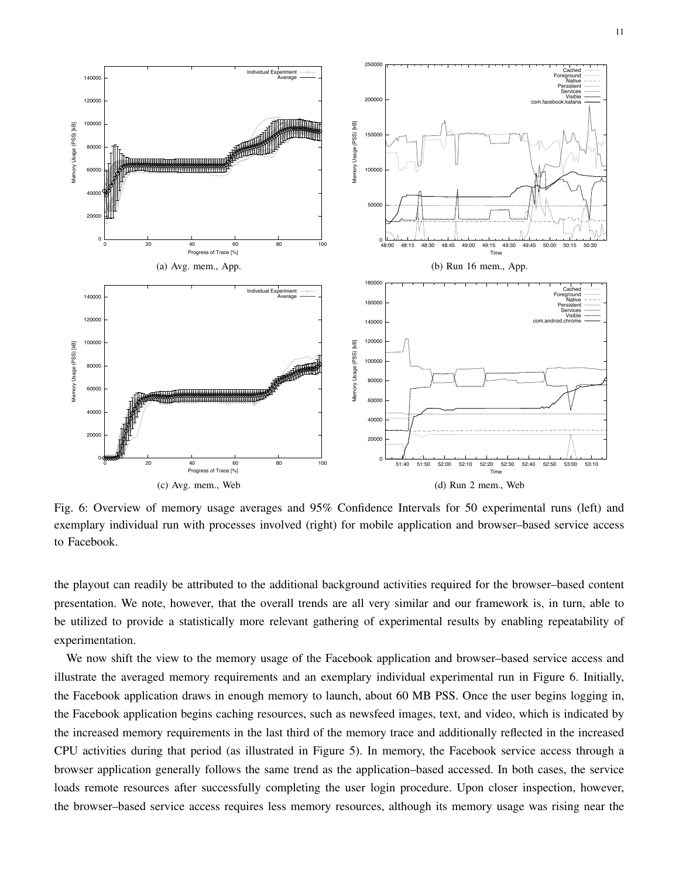

Fig. 6: Overview of memory usage averages and 95% Confidence Intervals for 50 experimental runs (left) and exemplary individual run with processes involved (right) for mobile application and browser–based service access to Facebook.

the playout can readily be attributed to the additional background activities required for the browser–based content presentation. We note, however, that the overall trends are all very similar and our framework is, in turn, able to be utilized to provide a statistically more relevant gathering of experimental results by enabling repeatability of experimentation.

We now shift the view to the memory usage of the Facebook application and browser–based service access and illustrate the averaged memory requirements and an exemplary individual experimental run in Figure 6. Initially, the Facebook application draws in enough memory to launch, about 60 MB PSS. Once the user begins logging in, the Facebook application begins caching resources, such as newsfeed images, text, and video, which is indicated by the increased memory requirements in the last third of the memory trace and additionally reflected in the increased CPU activities during that period (as illustrated in Figure 5). In memory, the Facebook service access through a browser application generally follows the same trend as the application–based accessed. In both cases, the service loads remote resources after successfully completing the user login procedure. Upon closer inspection, however, the browser–based service access requires less memory resources, although its memory usage was rising near the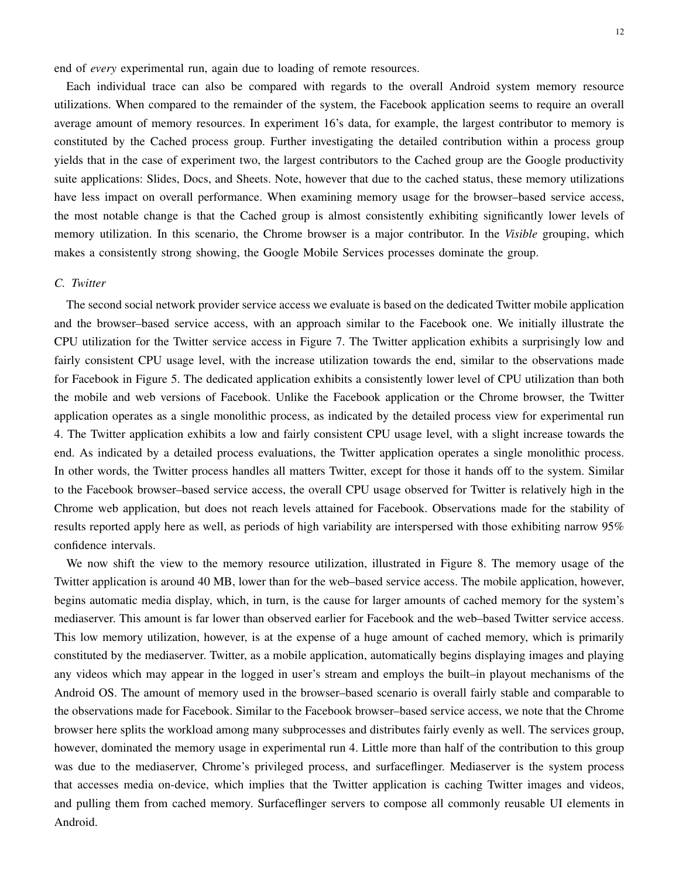end of *every* experimental run, again due to loading of remote resources.

Each individual trace can also be compared with regards to the overall Android system memory resource utilizations. When compared to the remainder of the system, the Facebook application seems to require an overall average amount of memory resources. In experiment 16's data, for example, the largest contributor to memory is constituted by the Cached process group. Further investigating the detailed contribution within a process group yields that in the case of experiment two, the largest contributors to the Cached group are the Google productivity suite applications: Slides, Docs, and Sheets. Note, however that due to the cached status, these memory utilizations have less impact on overall performance. When examining memory usage for the browser–based service access, the most notable change is that the Cached group is almost consistently exhibiting significantly lower levels of memory utilization. In this scenario, the Chrome browser is a major contributor. In the *Visible* grouping, which makes a consistently strong showing, the Google Mobile Services processes dominate the group.

# *C. Twitter*

The second social network provider service access we evaluate is based on the dedicated Twitter mobile application and the browser–based service access, with an approach similar to the Facebook one. We initially illustrate the CPU utilization for the Twitter service access in Figure 7. The Twitter application exhibits a surprisingly low and fairly consistent CPU usage level, with the increase utilization towards the end, similar to the observations made for Facebook in Figure 5. The dedicated application exhibits a consistently lower level of CPU utilization than both the mobile and web versions of Facebook. Unlike the Facebook application or the Chrome browser, the Twitter application operates as a single monolithic process, as indicated by the detailed process view for experimental run 4. The Twitter application exhibits a low and fairly consistent CPU usage level, with a slight increase towards the end. As indicated by a detailed process evaluations, the Twitter application operates a single monolithic process. In other words, the Twitter process handles all matters Twitter, except for those it hands off to the system. Similar to the Facebook browser–based service access, the overall CPU usage observed for Twitter is relatively high in the Chrome web application, but does not reach levels attained for Facebook. Observations made for the stability of results reported apply here as well, as periods of high variability are interspersed with those exhibiting narrow 95% confidence intervals.

We now shift the view to the memory resource utilization, illustrated in Figure 8. The memory usage of the Twitter application is around 40 MB, lower than for the web–based service access. The mobile application, however, begins automatic media display, which, in turn, is the cause for larger amounts of cached memory for the system's mediaserver. This amount is far lower than observed earlier for Facebook and the web–based Twitter service access. This low memory utilization, however, is at the expense of a huge amount of cached memory, which is primarily constituted by the mediaserver. Twitter, as a mobile application, automatically begins displaying images and playing any videos which may appear in the logged in user's stream and employs the built–in playout mechanisms of the Android OS. The amount of memory used in the browser–based scenario is overall fairly stable and comparable to the observations made for Facebook. Similar to the Facebook browser–based service access, we note that the Chrome browser here splits the workload among many subprocesses and distributes fairly evenly as well. The services group, however, dominated the memory usage in experimental run 4. Little more than half of the contribution to this group was due to the mediaserver, Chrome's privileged process, and surfaceflinger. Mediaserver is the system process that accesses media on-device, which implies that the Twitter application is caching Twitter images and videos, and pulling them from cached memory. Surfaceflinger servers to compose all commonly reusable UI elements in Android.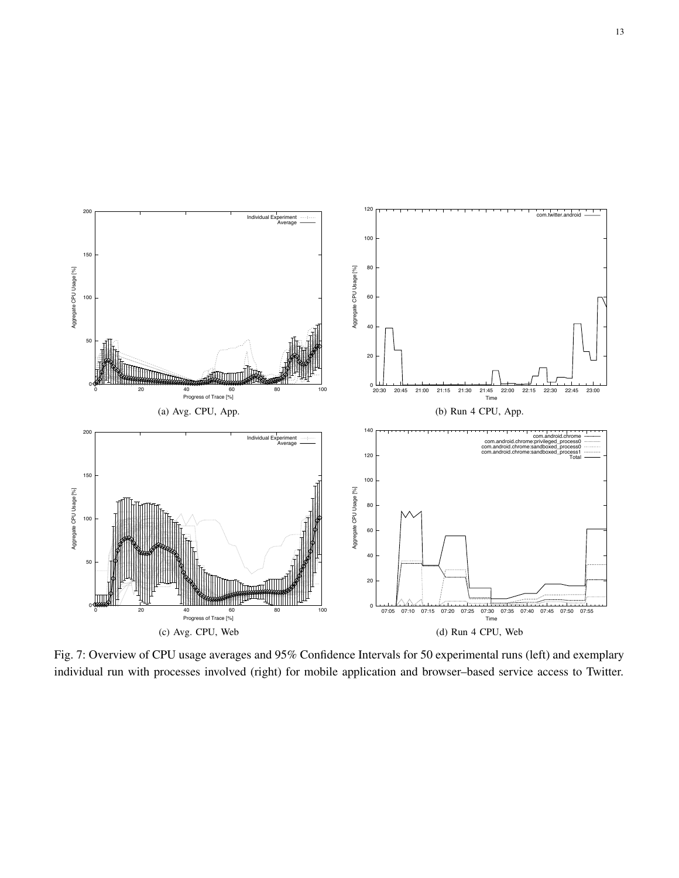

Fig. 7: Overview of CPU usage averages and 95% Confidence Intervals for 50 experimental runs (left) and exemplary individual run with processes involved (right) for mobile application and browser–based service access to Twitter.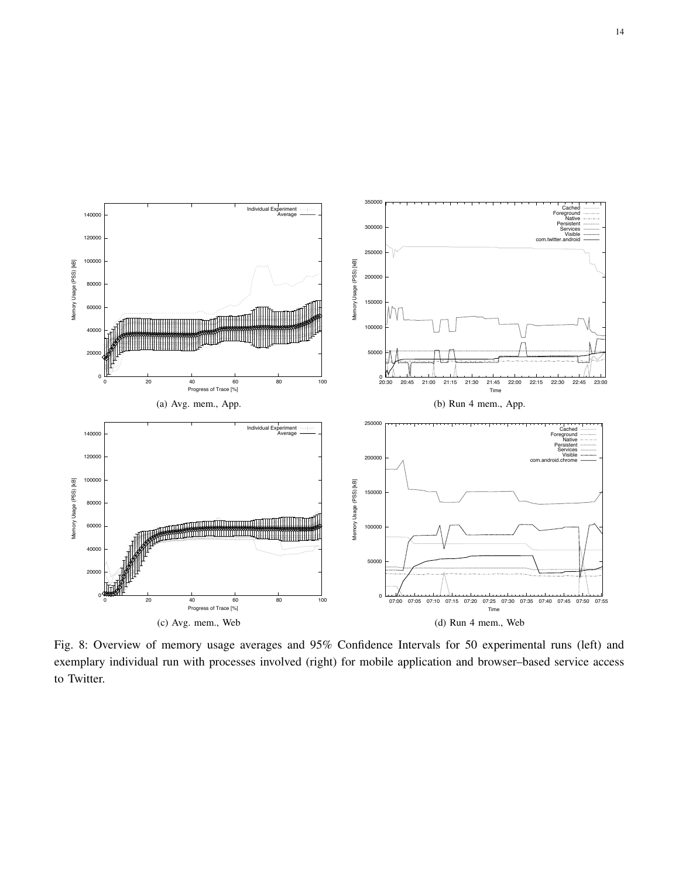

Fig. 8: Overview of memory usage averages and 95% Confidence Intervals for 50 experimental runs (left) and exemplary individual run with processes involved (right) for mobile application and browser-based service access to Twitter.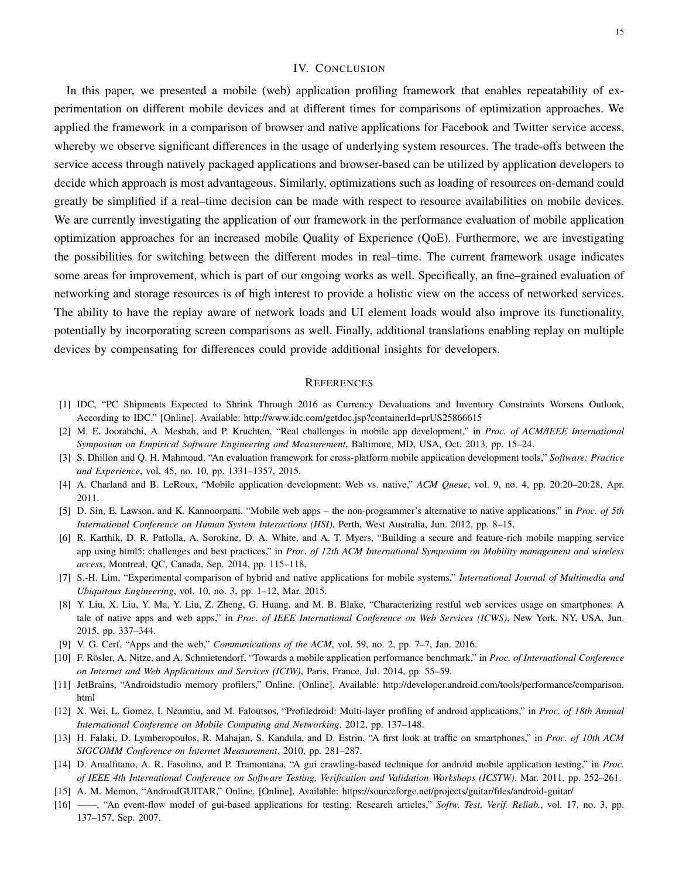#### IV. CONCLUSION

In this paper, we presented a mobile (web) application profiling framework that enables repeatability of experimentation on different mobile devices and at different times for comparisons of optimization approaches. We applied the framework in a comparison of browser and native applications for Facebook and Twitter service access, whereby we observe significant differences in the usage of underlying system resources. The trade-offs between the service access through natively packaged applications and browser-based can be utilized by application developers to decide which approach is most advantageous. Similarly, optimizations such as loading of resources on-demand could greatly be simplified if a real–time decision can be made with respect to resource availabilities on mobile devices. We are currently investigating the application of our framework in the performance evaluation of mobile application optimization approaches for an increased mobile Quality of Experience (QoE). Furthermore, we are investigating the possibilities for switching between the different modes in real–time. The current framework usage indicates some areas for improvement, which is part of our ongoing works as well. Specifically, an fine–grained evaluation of networking and storage resources is of high interest to provide a holistic view on the access of networked services. The ability to have the replay aware of network loads and UI element loads would also improve its functionality, potentially by incorporating screen comparisons as well. Finally, additional translations enabling replay on multiple devices by compensating for differences could provide additional insights for developers.

#### **REFERENCES**

- [1] IDC, "PC Shipments Expected to Shrink Through 2016 as Currency Devaluations and Inventory Constraints Worsens Outlook, According to IDC." [Online]. Available: http://www.idc.com/getdoc.jsp?containerId=prUS25866615
- [2] M. E. Joorabchi, A. Mesbah, and P. Kruchten, "Real challenges in mobile app development," in *Proc. of ACM/IEEE International Symposium on Empirical Software Engineering and Measurement*, Baltimore, MD, USA, Oct. 2013, pp. 15–24.
- [3] S. Dhillon and Q. H. Mahmoud, "An evaluation framework for cross-platform mobile application development tools," *Software: Practice and Experience*, vol. 45, no. 10, pp. 1331–1357, 2015.
- [4] A. Charland and B. LeRoux, "Mobile application development: Web vs. native," *ACM Queue*, vol. 9, no. 4, pp. 20:20–20:28, Apr. 2011.
- [5] D. Sin, E. Lawson, and K. Kannoorpatti, "Mobile web apps the non-programmer's alternative to native applications," in *Proc. of 5th International Conference on Human System Interactions (HSI)*, Perth, West Australia, Jun. 2012, pp. 8–15.
- [6] R. Karthik, D. R. Patlolla, A. Sorokine, D. A. White, and A. T. Myers, "Building a secure and feature-rich mobile mapping service app using html5: challenges and best practices," in *Proc. of 12th ACM International Symposium on Mobility management and wireless access*, Montreal, QC, Canada, Sep. 2014, pp. 115–118.
- [7] S.-H. Lim, "Experimental comparison of hybrid and native applications for mobile systems," *International Journal of Multimedia and Ubiquitous Engineering*, vol. 10, no. 3, pp. 1–12, Mar. 2015.
- [8] Y. Liu, X. Liu, Y. Ma, Y. Liu, Z. Zheng, G. Huang, and M. B. Blake, "Characterizing restful web services usage on smartphones: A tale of native apps and web apps," in *Proc. of IEEE International Conference on Web Services (ICWS)*, New York, NY, USA, Jun. 2015, pp. 337–344.
- [9] V. G. Cerf, "Apps and the web," *Communications of the ACM*, vol. 59, no. 2, pp. 7–7, Jan. 2016.
- [10] F. Rösler, A. Nitze, and A. Schmietendorf, "Towards a mobile application performance benchmark," in Proc. of International Conference *on Internet and Web Applications and Services (ICIW)*, Paris, France, Jul. 2014, pp. 55–59.
- [11] JetBrains, "Androidstudio memory profilers," Online. [Online]. Available: http://developer.android.com/tools/performance/comparison. html
- [12] X. Wei, L. Gomez, I. Neamtiu, and M. Faloutsos, "Profiledroid: Multi-layer profiling of android applications," in *Proc. of 18th Annual International Conference on Mobile Computing and Networking*, 2012, pp. 137–148.
- [13] H. Falaki, D. Lymberopoulos, R. Mahajan, S. Kandula, and D. Estrin, "A first look at traffic on smartphones," in *Proc. of 10th ACM SIGCOMM Conference on Internet Measurement*, 2010, pp. 281–287.
- [14] D. Amalfitano, A. R. Fasolino, and P. Tramontana, "A gui crawling-based technique for android mobile application testing," in *Proc. of IEEE 4th International Conference on Software Testing, Verification and Validation Workshops (ICSTW)*, Mar. 2011, pp. 252–261.
- [15] A. M. Memon, "AndroidGUITAR," Online. [Online]. Available: https://sourceforge.net/projects/guitar/files/android-guitar/
- [16] ——, "An event-flow model of gui-based applications for testing: Research articles," *Softw. Test. Verif. Reliab.*, vol. 17, no. 3, pp. 137–157, Sep. 2007.